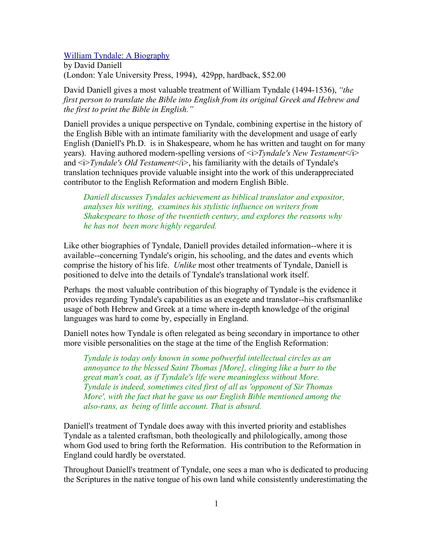## William Tyndale: A Biography

by David Daniell (London: Yale University Press, 1994), 429pp, hardback, \$52.00

David Daniell gives a most valuable treatment of William Tyndale (1494-1536), *"the first person to translate the Bible into English from its original Greek and Hebrew and the first to print the Bible in English."*

Daniell provides a unique perspective on Tyndale, combining expertise in the history of the English Bible with an intimate familiarity with the development and usage of early English (Daniell's Ph.D. is in Shakespeare, whom he has written and taught on for many years). Having authored modern-spelling versions of <i>*Tyndale's New Testament*</i> and  $\leq i$ *Tyndale's Old Testament* $\leq i$ *>*, his familiarity with the details of Tyndale's translation techniques provide valuable insight into the work of this underappreciated contributor to the English Reformation and modern English Bible.

*Daniell discusses Tyndales achievement as biblical translator and expositor, analyses his writing, examines his stylistic influence on writers from Shakespeare to those of the twentieth century, and explores the reasons why he has not been more highly regarded.*

Like other biographies of Tyndale, Daniell provides detailed information--where it is available--concerning Tyndale's origin, his schooling, and the dates and events which comprise the history of his life. *Unlike* most other treatments of Tyndale, Daniell is positioned to delve into the details of Tyndale's translational work itself.

Perhaps the most valuable contribution of this biography of Tyndale is the evidence it provides regarding Tyndale's capabilities as an exegete and translator--his craftsmanlike usage of both Hebrew and Greek at a time where in-depth knowledge of the original languages was hard to come by, especially in England.

Daniell notes how Tyndale is often relegated as being secondary in importance to other more visible personalities on the stage at the time of the English Reformation:

*Tyndale is today only known in some po0werful intellectual circles as an annoyance to the blessed Saint Thomas [More], clinging like a burr to the great man's coat, as if Tyndale's life were meaningless without More. Tyndale is indeed, sometimes cited first of all as 'opponent of Sir Thomas More', with the fact that he gave us our English Bible mentioned among the also-rans, as being of little account. That is absurd.*

Daniell's treatment of Tyndale does away with this inverted priority and establishes Tyndale as a talented craftsman, both theologically and philologically, among those whom God used to bring forth the Reformation. His contribution to the Reformation in England could hardly be overstated.

Throughout Daniell's treatment of Tyndale, one sees a man who is dedicated to producing the Scriptures in the native tongue of his own land while consistently underestimating the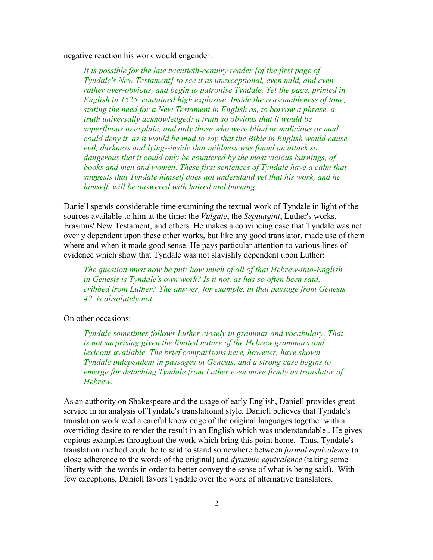negative reaction his work would engender:

*It is possible for the late twentieth-century reader [of the first page of Tyndale's New Testament] to see it as unexceptional, even mild, and even rather over-obvious, and begin to patronise Tyndale. Yet the page, printed in English in 1525, contained high explosive. Inside the reasonableness of tone, stating the need for a New Testament in English as, to borrow a phrase, a truth universally acknowledged; a truth so obvious that it would be superfluous to explain, and only those who were blind or malicious or mad could deny it, as it would be mad to say that the Bible in English would cause evil, darkness and lying--inside that mildness was found an attack so dangerous that it could only be countered by the most vicious burnings, of books and men and women. These first sentences of Tyndale have a calm that suggests that Tyndale himself does not understand yet that his work, and he himself, will be answered with hatred and burning.*

Daniell spends considerable time examining the textual work of Tyndale in light of the sources available to him at the time: the *Vulgate*, the *Septuagint*, Luther's works, Erasmus' New Testament, and others. He makes a convincing case that Tyndale was not overly dependent upon these other works, but like any good translator, made use of them where and when it made good sense. He pays particular attention to various lines of evidence which show that Tyndale was not slavishly dependent upon Luther:

*The question must now be put: how much of all of that Hebrew-into-English in Genesis is Tyndale's own work? Is it not, as has so often been said, cribbed from Luther? The answer, for example, in that passage from Genesis 42, is absolutely not.*

On other occasions:

*Tyndale sometimes follows Luther closely in grammar and vocabulary. That is not surprising given the limited nature of the Hebrew grammars and lexicons available. The brief comparisons here, however, have shown Tyndale independent in passages in Genesis, and a strong case begins to emerge for detaching Tyndale from Luther even more firmly as translator of Hebrew.*

As an authority on Shakespeare and the usage of early English, Daniell provides great service in an analysis of Tyndale's translational style. Daniell believes that Tyndale's translation work wed a careful knowledge of the original languages together with a overriding desire to render the result in an English which was understandable.. He gives copious examples throughout the work which bring this point home. Thus, Tyndale's translation method could be to said to stand somewhere between *formal equivalence* (a close adherence to the words of the original) and *dynamic equivalence* (taking some liberty with the words in order to better convey the sense of what is being said). With few exceptions, Daniell favors Tyndale over the work of alternative translators.